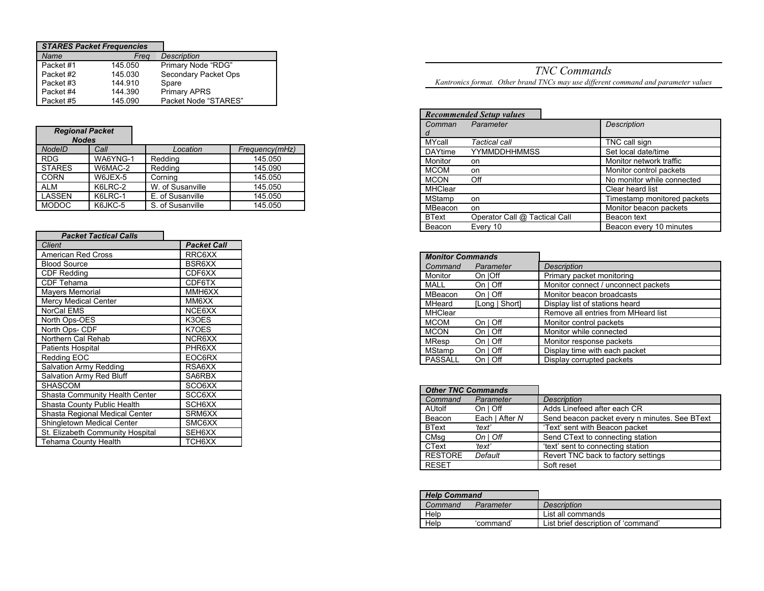| <b>STARES Packet Frequencies</b> |         |                      |
|----------------------------------|---------|----------------------|
| Name                             | Frea    | <b>Description</b>   |
| Packet #1                        | 145.050 | Primary Node "RDG"   |
| Packet #2                        | 145.030 | Secondary Packet Ops |
| Packet #3                        | 144.910 | Spare                |
| Packet #4                        | 144.390 | <b>Primary APRS</b>  |
| Packet #5                        | 145.090 | Packet Node "STARES" |

## *Regional Packet*

| <b>Nodes</b>  |          |                  |                |
|---------------|----------|------------------|----------------|
| <b>NodelD</b> | Call     | Location         | Frequency(mHz) |
| <b>RDG</b>    | WA6YNG-1 | Redding          | 145.050        |
| <b>STARES</b> | W6MAC-2  | Redding          | 145.090        |
| <b>CORN</b>   | W6JEX-5  | Cornina          | 145.050        |
| <b>ALM</b>    | K6LRC-2  | W. of Susanville | 145.050        |
| LASSEN        | K6LRC-1  | E. of Susanville | 145.050        |
| <b>MODOC</b>  | K6JKC-5  | S. of Susanville | 145.050        |

| <b>Packet Tactical Calls</b>          |                    |
|---------------------------------------|--------------------|
| <b>Client</b>                         | <b>Packet Call</b> |
| American Red Cross                    | RRC6XX             |
| <b>Blood Source</b>                   | BSR6XX             |
| <b>CDF Redding</b>                    | CDF6XX             |
| <b>CDF Tehama</b>                     | CDF6TX             |
| <b>Mayers Memorial</b>                | MMH6XX             |
| <b>Mercy Medical Center</b>           | MM6XX              |
| NorCal EMS                            | NCE6XX             |
| North Ops-OES                         | K3OES              |
| North Ops- CDF                        | K70ES              |
| Northern Cal Rehab                    | NCR6XX             |
| Patients Hospital                     | PHR6XX             |
| Redding EOC                           | EOC6RX             |
| Salvation Army Redding                | RSA6XX             |
| Salvation Army Red Bluff              | SA6RBX             |
| <b>SHASCOM</b>                        | SCO6XX             |
| <b>Shasta Community Health Center</b> | SCC6XX             |
| Shasta County Public Health           | SCH6XX             |
| Shasta Regional Medical Center        | SRM6XX             |
| Shingletown Medical Center            | SMC6XX             |
| St. Elizabeth Community Hospital      | SEH6XX             |
| <b>Tehama County Health</b>           | TCH6XX             |

*TNC Commands Kantronics format. Other brand TNCs may use different command and parameter values*

|                | <b>Recommended Setup values</b> |                             |
|----------------|---------------------------------|-----------------------------|
| Comman         | Parameter                       | <b>Description</b>          |
| d              |                                 |                             |
| <b>MYcall</b>  | Tactical call                   | TNC call sign               |
| <b>DAYtime</b> | <b>YYMMDDHHMMSS</b>             | Set local date/time         |
| Monitor        | on.                             | Monitor network traffic     |
| <b>MCOM</b>    | on                              | Monitor control packets     |
| <b>MCON</b>    | Off                             | No monitor while connected  |
| <b>MHClear</b> |                                 | Clear heard list            |
| MStamp         | on                              | Timestamp monitored packets |
| MBeacon        | on                              | Monitor beacon packets      |
| <b>BText</b>   | Operator Call @ Tactical Call   | Beacon text                 |
| Beacon         | Every 10                        | Beacon every 10 minutes     |

| <b>Monitor Commands</b> |                |                                     |
|-------------------------|----------------|-------------------------------------|
| Command                 | Parameter      | <b>Description</b>                  |
| Monitor                 | On  Off        | Primary packet monitoring           |
| MALL                    | On   Off       | Monitor connect / unconnect packets |
| MBeacon                 | On   Off       | Monitor beacon broadcasts           |
| <b>MHeard</b>           | [Long   Short] | Display list of stations heard      |
| <b>MHClear</b>          |                | Remove all entries from MHeard list |
| <b>MCOM</b>             | On   Off       | Monitor control packets             |
| <b>MCON</b>             | On   Off       | Monitor while connected             |
| <b>MResp</b>            | On   Off       | Monitor response packets            |
| <b>MStamp</b>           | On   Off       | Display time with each packet       |
| <b>PASSALL</b>          | $On I$ Off     | Display corrupted packets           |

| <b>Other TNC Commands</b> |                        |                                               |
|---------------------------|------------------------|-----------------------------------------------|
| Command                   | Parameter              | <b>Description</b>                            |
| AUtolf                    | $On I$ Off             | Adds Linefeed after each CR                   |
| Beacon                    | Each   After N         | Send beacon packet every n minutes. See BText |
| <b>BText</b>              | 'text'                 | 'Text' sent with Beacon packet                |
| CMsq                      | $On \mid \textit{Off}$ | Send CText to connecting station              |
| CText                     | 'text'                 | 'text' sent to connecting station             |
| <b>RESTORE</b>            | Default                | Revert TNC back to factory settings           |
| <b>RESET</b>              |                        | Soft reset                                    |

| <b>Help Command</b> |           |                                     |
|---------------------|-----------|-------------------------------------|
| Command             | Parameter | <b>Description</b>                  |
| Help                |           | List all commands                   |
| Help                | 'command' | List brief description of 'command' |